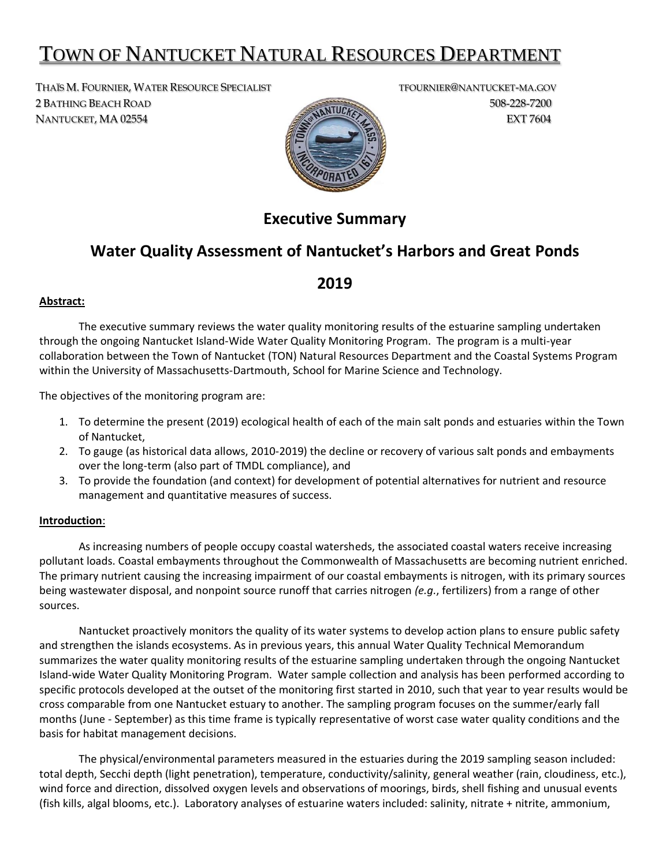# TOWN OF NANTUCKET NATURAL RESOURCES DEPARTMENT

THAÏS M. FOURNIER, WATER RESOURCE SPECIALIST TENNIER ON THE TOURNIER @NANTUCKET-MA.GOV 2 BATHING BEACH ROAD 508-228-7200 NANTUCKET, MA 02554 EXT 7604



## **Executive Summary**

### **Water Quality Assessment of Nantucket's Harbors and Great Ponds**

### **2019**

#### **Abstract:**

The executive summary reviews the water quality monitoring results of the estuarine sampling undertaken through the ongoing Nantucket Island-Wide Water Quality Monitoring Program. The program is a multi-year collaboration between the Town of Nantucket (TON) Natural Resources Department and the Coastal Systems Program within the University of Massachusetts-Dartmouth, School for Marine Science and Technology.

The objectives of the monitoring program are:

- 1. To determine the present (2019) ecological health of each of the main salt ponds and estuaries within the Town of Nantucket,
- 2. To gauge (as historical data allows, 2010-2019) the decline or recovery of various salt ponds and embayments over the long-term (also part of TMDL compliance), and
- 3. To provide the foundation (and context) for development of potential alternatives for nutrient and resource management and quantitative measures of success.

#### **Introduction**:

As increasing numbers of people occupy coastal watersheds, the associated coastal waters receive increasing pollutant loads. Coastal embayments throughout the Commonwealth of Massachusetts are becoming nutrient enriched. The primary nutrient causing the increasing impairment of our coastal embayments is nitrogen, with its primary sources being wastewater disposal, and nonpoint source runoff that carries nitrogen *(e.g.*, fertilizers) from a range of other sources.

Nantucket proactively monitors the quality of its water systems to develop action plans to ensure public safety and strengthen the islands ecosystems. As in previous years, this annual Water Quality Technical Memorandum summarizes the water quality monitoring results of the estuarine sampling undertaken through the ongoing Nantucket Island-wide Water Quality Monitoring Program. Water sample collection and analysis has been performed according to specific protocols developed at the outset of the monitoring first started in 2010, such that year to year results would be cross comparable from one Nantucket estuary to another. The sampling program focuses on the summer/early fall months (June - September) as this time frame is typically representative of worst case water quality conditions and the basis for habitat management decisions.

The physical/environmental parameters measured in the estuaries during the 2019 sampling season included: total depth, Secchi depth (light penetration), temperature, conductivity/salinity, general weather (rain, cloudiness, etc.), wind force and direction, dissolved oxygen levels and observations of moorings, birds, shell fishing and unusual events (fish kills, algal blooms, etc.). Laboratory analyses of estuarine waters included: salinity, nitrate + nitrite, ammonium,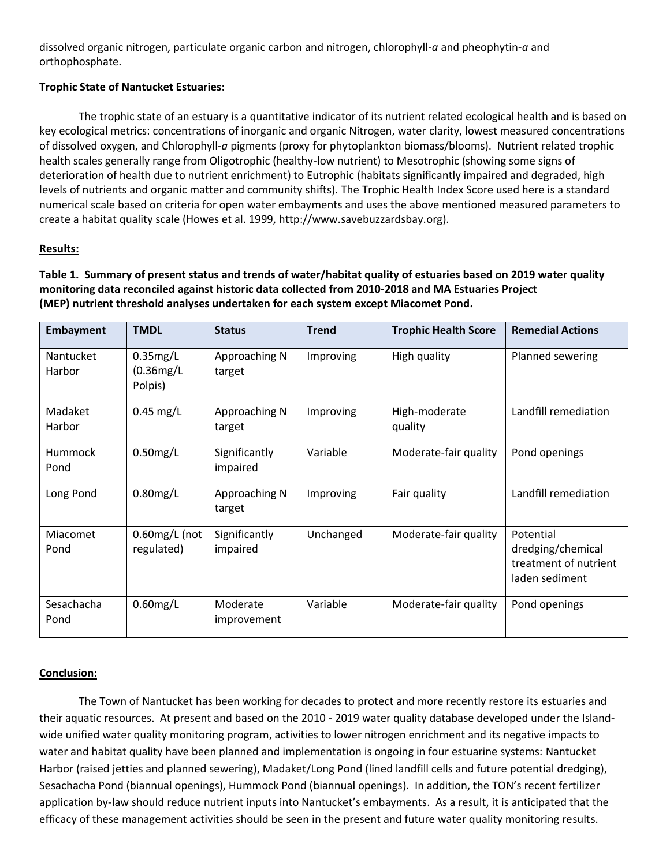dissolved organic nitrogen, particulate organic carbon and nitrogen, chlorophyll-*a* and pheophytin-*a* and orthophosphate.

#### **Trophic State of Nantucket Estuaries:**

The trophic state of an estuary is a quantitative indicator of its nutrient related ecological health and is based on key ecological metrics: concentrations of inorganic and organic Nitrogen, water clarity, lowest measured concentrations of dissolved oxygen, and Chlorophyll-*a* pigments (proxy for phytoplankton biomass/blooms). Nutrient related trophic health scales generally range from Oligotrophic (healthy-low nutrient) to Mesotrophic (showing some signs of deterioration of health due to nutrient enrichment) to Eutrophic (habitats significantly impaired and degraded, high levels of nutrients and organic matter and community shifts). The Trophic Health Index Score used here is a standard numerical scale based on criteria for open water embayments and uses the above mentioned measured parameters to create a habitat quality scale (Howes et al. 1999, http://www.savebuzzardsbay.org).

#### **Results:**

**Table 1. Summary of present status and trends of water/habitat quality of estuaries based on 2019 water quality monitoring data reconciled against historic data collected from 2010-2018 and MA Estuaries Project (MEP) nutrient threshold analyses undertaken for each system except Miacomet Pond.**

| <b>Embayment</b>    | <b>TMDL</b>                            | <b>Status</b>             | <b>Trend</b> | <b>Trophic Health Score</b> | <b>Remedial Actions</b>                                                   |
|---------------------|----------------------------------------|---------------------------|--------------|-----------------------------|---------------------------------------------------------------------------|
| Nantucket<br>Harbor | $0.35$ mg/L<br>$(0.36$ mg/L<br>Polpis) | Approaching N<br>target   | Improving    | High quality                | Planned sewering                                                          |
| Madaket<br>Harbor   | $0.45$ mg/L                            | Approaching N<br>target   | Improving    | High-moderate<br>quality    | Landfill remediation                                                      |
| Hummock<br>Pond     | $0.50$ mg/L                            | Significantly<br>impaired | Variable     | Moderate-fair quality       | Pond openings                                                             |
| Long Pond           | $0.80$ mg/L                            | Approaching N<br>target   | Improving    | Fair quality                | Landfill remediation                                                      |
| Miacomet<br>Pond    | $0.60$ mg/L $($ not<br>regulated)      | Significantly<br>impaired | Unchanged    | Moderate-fair quality       | Potential<br>dredging/chemical<br>treatment of nutrient<br>laden sediment |
| Sesachacha<br>Pond  | $0.60$ mg/L                            | Moderate<br>improvement   | Variable     | Moderate-fair quality       | Pond openings                                                             |

#### **Conclusion:**

The Town of Nantucket has been working for decades to protect and more recently restore its estuaries and their aquatic resources. At present and based on the 2010 - 2019 water quality database developed under the Islandwide unified water quality monitoring program, activities to lower nitrogen enrichment and its negative impacts to water and habitat quality have been planned and implementation is ongoing in four estuarine systems: Nantucket Harbor (raised jetties and planned sewering), Madaket/Long Pond (lined landfill cells and future potential dredging), Sesachacha Pond (biannual openings), Hummock Pond (biannual openings). In addition, the TON's recent fertilizer application by-law should reduce nutrient inputs into Nantucket's embayments. As a result, it is anticipated that the efficacy of these management activities should be seen in the present and future water quality monitoring results.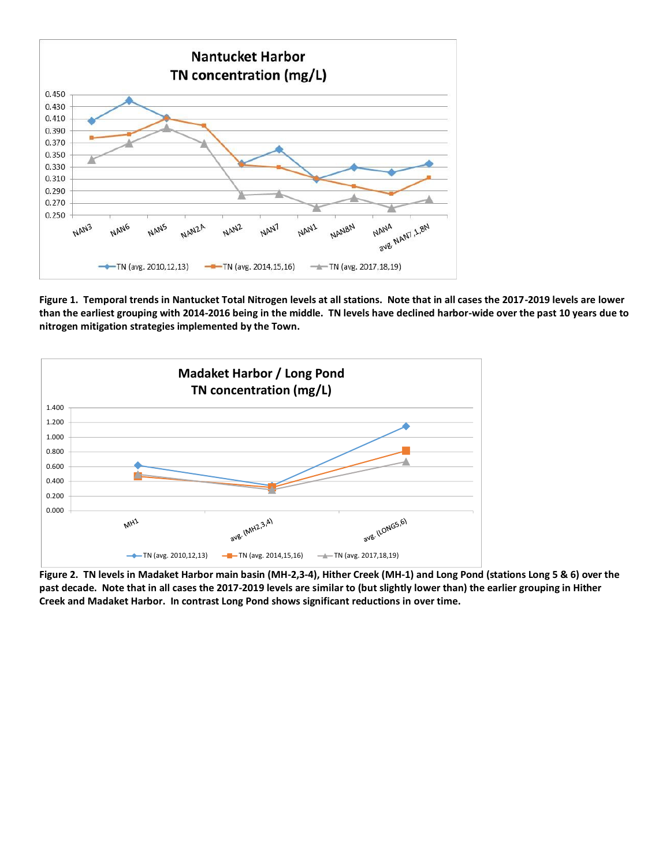

**Figure 1. Temporal trends in Nantucket Total Nitrogen levels at all stations. Note that in all cases the 2017-2019 levels are lower than the earliest grouping with 2014-2016 being in the middle. TN levels have declined harbor-wide over the past 10 years due to nitrogen mitigation strategies implemented by the Town.**



**Figure 2. TN levels in Madaket Harbor main basin (MH-2,3-4), Hither Creek (MH-1) and Long Pond (stations Long 5 & 6) over the past decade. Note that in all cases the 2017-2019 levels are similar to (but slightly lower than) the earlier grouping in Hither Creek and Madaket Harbor. In contrast Long Pond shows significant reductions in over time.**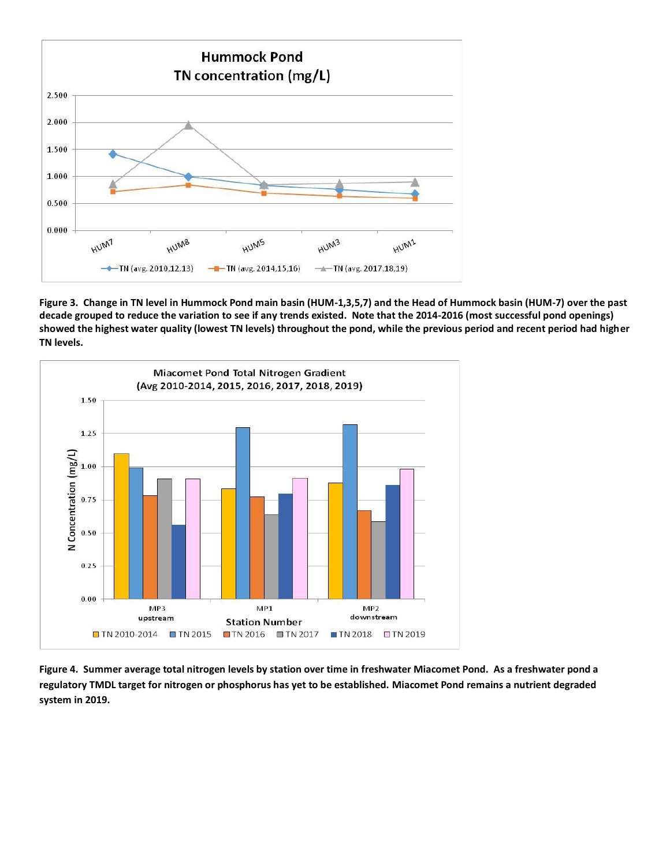

**Figure 3. Change in TN level in Hummock Pond main basin (HUM-1,3,5,7) and the Head of Hummock basin (HUM-7) over the past decade grouped to reduce the variation to see if any trends existed. Note that the 2014-2016 (most successful pond openings) showed the highest water quality (lowest TN levels) throughout the pond, while the previous period and recent period had higher TN levels.** 



**Figure 4. Summer average total nitrogen levels by station over time in freshwater Miacomet Pond. As a freshwater pond a regulatory TMDL target for nitrogen or phosphorus has yet to be established. Miacomet Pond remains a nutrient degraded system in 2019.**